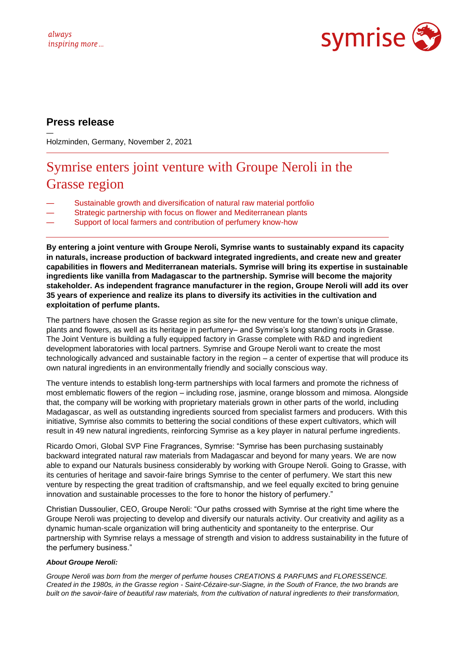

# **Press release**

—

Holzminden, Germany, November 2, 2021

# Symrise enters joint venture with Groupe Neroli in the Grasse region

- Sustainable growth and diversification of natural raw material portfolio
- Strategic partnership with focus on flower and Mediterranean plants
- Support of local farmers and contribution of perfumery know-how

**By entering a joint venture with Groupe Neroli, Symrise wants to sustainably expand its capacity in naturals, increase production of backward integrated ingredients, and create new and greater capabilities in flowers and Mediterranean materials. Symrise will bring its expertise in sustainable ingredients like vanilla from Madagascar to the partnership. Symrise will become the majority stakeholder. As independent fragrance manufacturer in the region, Groupe Neroli will add its over 35 years of experience and realize its plans to diversify its activities in the cultivation and exploitation of perfume plants.** 

The partners have chosen the Grasse region as site for the new venture for the town's unique climate, plants and flowers, as well as its heritage in perfumery– and Symrise's long standing roots in Grasse. The Joint Venture is building a fully equipped factory in Grasse complete with R&D and ingredient development laboratories with local partners. Symrise and Groupe Neroli want to create the most technologically advanced and sustainable factory in the region – a center of expertise that will produce its own natural ingredients in an environmentally friendly and socially conscious way.

The venture intends to establish long-term partnerships with local farmers and promote the richness of most emblematic flowers of the region – including rose, jasmine, orange blossom and mimosa. Alongside that, the company will be working with proprietary materials grown in other parts of the world, including Madagascar, as well as outstanding ingredients sourced from specialist farmers and producers. With this initiative, Symrise also commits to bettering the social conditions of these expert cultivators, which will result in 49 new natural ingredients, reinforcing Symrise as a key player in natural perfume ingredients.

Ricardo Omori, Global SVP Fine Fragrances, Symrise: "Symrise has been purchasing sustainably backward integrated natural raw materials from Madagascar and beyond for many years. We are now able to expand our Naturals business considerably by working with Groupe Neroli. Going to Grasse, with its centuries of heritage and savoir-faire brings Symrise to the center of perfumery. We start this new venture by respecting the great tradition of craftsmanship, and we feel equally excited to bring genuine innovation and sustainable processes to the fore to honor the history of perfumery."

Christian Dussoulier, CEO, Groupe Neroli: "Our paths crossed with Symrise at the right time where the Groupe Neroli was projecting to develop and diversify our naturals activity. Our creativity and agility as a dynamic human-scale organization will bring authenticity and spontaneity to the enterprise. Our partnership with Symrise relays a message of strength and vision to address sustainability in the future of the perfumery business."

# *About Groupe Neroli:*

*Groupe Neroli was born from the merger of perfume houses CREATIONS & PARFUMS and FLORESSENCE. Created in the 1980s, in the Grasse region - Saint-Cézaire-sur-Siagne, in the South of France, the two brands are built on the savoir-faire of beautiful raw materials, from the cultivation of natural ingredients to their transformation,*